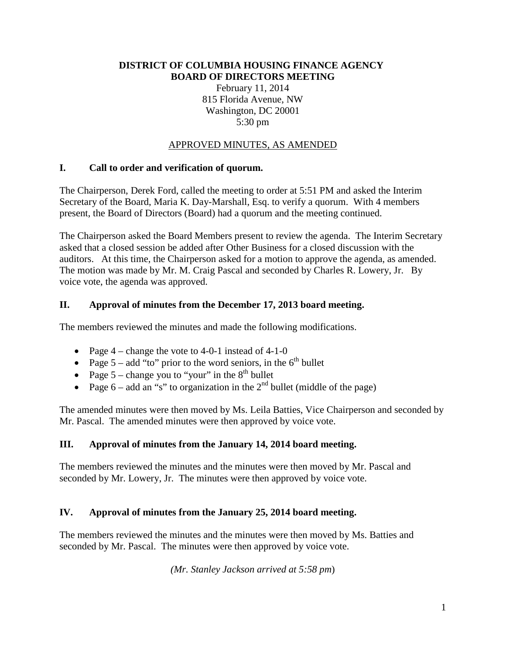#### **DISTRICT OF COLUMBIA HOUSING FINANCE AGENCY BOARD OF DIRECTORS MEETING**

February 11, 2014 815 Florida Avenue, NW Washington, DC 20001 5:30 pm

### APPROVED MINUTES, AS AMENDED

### **I. Call to order and verification of quorum.**

The Chairperson, Derek Ford, called the meeting to order at 5:51 PM and asked the Interim Secretary of the Board, Maria K. Day-Marshall, Esq. to verify a quorum. With 4 members present, the Board of Directors (Board) had a quorum and the meeting continued.

The Chairperson asked the Board Members present to review the agenda. The Interim Secretary asked that a closed session be added after Other Business for a closed discussion with the auditors. At this time, the Chairperson asked for a motion to approve the agenda, as amended. The motion was made by Mr. M. Craig Pascal and seconded by Charles R. Lowery, Jr. By voice vote, the agenda was approved.

### **II. Approval of minutes from the December 17, 2013 board meeting.**

The members reviewed the minutes and made the following modifications.

- Page  $4$  change the vote to 4-0-1 instead of 4-1-0
- Page  $5 add$  "to" prior to the word seniors, in the  $6<sup>th</sup>$  bullet
- Page  $5$  change you to "your" in the  $8<sup>th</sup>$  bullet
- Page  $6 -$  add an "s" to organization in the  $2<sup>nd</sup>$  bullet (middle of the page)

The amended minutes were then moved by Ms. Leila Batties, Vice Chairperson and seconded by Mr. Pascal. The amended minutes were then approved by voice vote.

### **III. Approval of minutes from the January 14, 2014 board meeting.**

The members reviewed the minutes and the minutes were then moved by Mr. Pascal and seconded by Mr. Lowery, Jr. The minutes were then approved by voice vote.

### **IV. Approval of minutes from the January 25, 2014 board meeting.**

The members reviewed the minutes and the minutes were then moved by Ms. Batties and seconded by Mr. Pascal. The minutes were then approved by voice vote.

*(Mr. Stanley Jackson arrived at 5:58 pm*)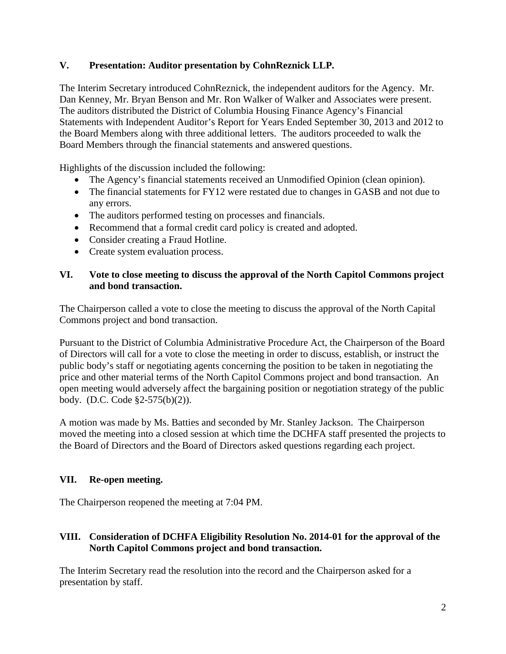# **V. Presentation: Auditor presentation by CohnReznick LLP.**

The Interim Secretary introduced CohnReznick, the independent auditors for the Agency. Mr. Dan Kenney, Mr. Bryan Benson and Mr. Ron Walker of Walker and Associates were present. The auditors distributed the District of Columbia Housing Finance Agency's Financial Statements with Independent Auditor's Report for Years Ended September 30, 2013 and 2012 to the Board Members along with three additional letters. The auditors proceeded to walk the Board Members through the financial statements and answered questions.

Highlights of the discussion included the following:

- The Agency's financial statements received an Unmodified Opinion (clean opinion).
- The financial statements for FY12 were restated due to changes in GASB and not due to any errors.
- The auditors performed testing on processes and financials.
- Recommend that a formal credit card policy is created and adopted.
- Consider creating a Fraud Hotline.
- Create system evaluation process.

### **VI. Vote to close meeting to discuss the approval of the North Capitol Commons project and bond transaction.**

The Chairperson called a vote to close the meeting to discuss the approval of the North Capital Commons project and bond transaction.

Pursuant to the District of Columbia Administrative Procedure Act, the Chairperson of the Board of Directors will call for a vote to close the meeting in order to discuss, establish, or instruct the public body's staff or negotiating agents concerning the position to be taken in negotiating the price and other material terms of the North Capitol Commons project and bond transaction. An open meeting would adversely affect the bargaining position or negotiation strategy of the public body. (D.C. Code §2-575(b)(2)).

A motion was made by Ms. Batties and seconded by Mr. Stanley Jackson. The Chairperson moved the meeting into a closed session at which time the DCHFA staff presented the projects to the Board of Directors and the Board of Directors asked questions regarding each project.

# **VII. Re-open meeting.**

The Chairperson reopened the meeting at 7:04 PM.

# **VIII. Consideration of DCHFA Eligibility Resolution No. 2014-01 for the approval of the North Capitol Commons project and bond transaction.**

The Interim Secretary read the resolution into the record and the Chairperson asked for a presentation by staff.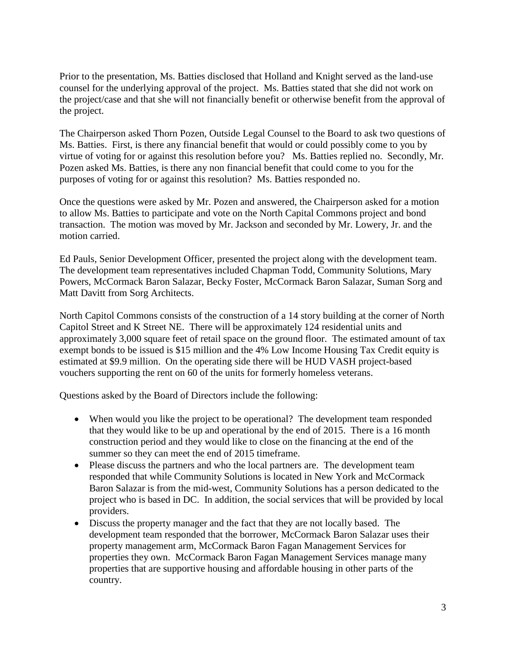Prior to the presentation, Ms. Batties disclosed that Holland and Knight served as the land-use counsel for the underlying approval of the project. Ms. Batties stated that she did not work on the project/case and that she will not financially benefit or otherwise benefit from the approval of the project.

The Chairperson asked Thorn Pozen, Outside Legal Counsel to the Board to ask two questions of Ms. Batties. First, is there any financial benefit that would or could possibly come to you by virtue of voting for or against this resolution before you? Ms. Batties replied no. Secondly, Mr. Pozen asked Ms. Batties, is there any non financial benefit that could come to you for the purposes of voting for or against this resolution? Ms. Batties responded no.

Once the questions were asked by Mr. Pozen and answered, the Chairperson asked for a motion to allow Ms. Batties to participate and vote on the North Capital Commons project and bond transaction. The motion was moved by Mr. Jackson and seconded by Mr. Lowery, Jr. and the motion carried.

Ed Pauls, Senior Development Officer, presented the project along with the development team. The development team representatives included Chapman Todd, Community Solutions, Mary Powers, McCormack Baron Salazar, Becky Foster, McCormack Baron Salazar, Suman Sorg and Matt Davitt from Sorg Architects.

North Capitol Commons consists of the construction of a 14 story building at the corner of North Capitol Street and K Street NE. There will be approximately 124 residential units and approximately 3,000 square feet of retail space on the ground floor. The estimated amount of tax exempt bonds to be issued is \$15 million and the 4% Low Income Housing Tax Credit equity is estimated at \$9.9 million. On the operating side there will be HUD VASH project-based vouchers supporting the rent on 60 of the units for formerly homeless veterans.

Questions asked by the Board of Directors include the following:

- When would you like the project to be operational? The development team responded that they would like to be up and operational by the end of 2015. There is a 16 month construction period and they would like to close on the financing at the end of the summer so they can meet the end of 2015 timeframe.
- Please discuss the partners and who the local partners are. The development team responded that while Community Solutions is located in New York and McCormack Baron Salazar is from the mid-west, Community Solutions has a person dedicated to the project who is based in DC. In addition, the social services that will be provided by local providers.
- Discuss the property manager and the fact that they are not locally based. The development team responded that the borrower, McCormack Baron Salazar uses their property management arm, McCormack Baron Fagan Management Services for properties they own. McCormack Baron Fagan Management Services manage many properties that are supportive housing and affordable housing in other parts of the country.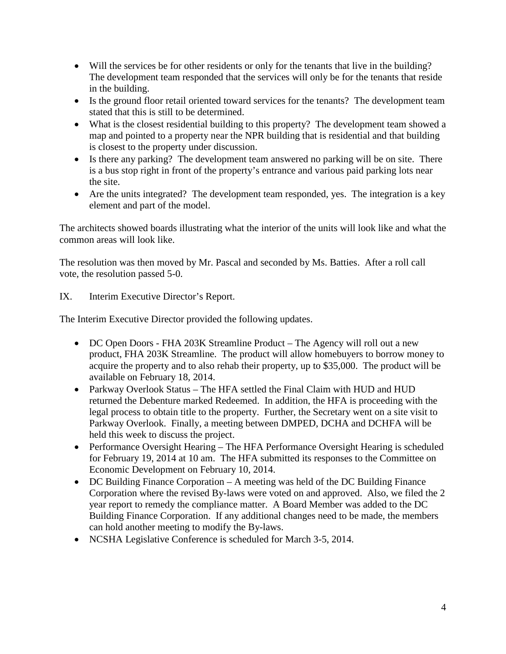- Will the services be for other residents or only for the tenants that live in the building? The development team responded that the services will only be for the tenants that reside in the building.
- Is the ground floor retail oriented toward services for the tenants? The development team stated that this is still to be determined.
- What is the closest residential building to this property? The development team showed a map and pointed to a property near the NPR building that is residential and that building is closest to the property under discussion.
- Is there any parking? The development team answered no parking will be on site. There is a bus stop right in front of the property's entrance and various paid parking lots near the site.
- Are the units integrated? The development team responded, yes. The integration is a key element and part of the model.

The architects showed boards illustrating what the interior of the units will look like and what the common areas will look like.

The resolution was then moved by Mr. Pascal and seconded by Ms. Batties. After a roll call vote, the resolution passed 5-0.

IX. Interim Executive Director's Report.

The Interim Executive Director provided the following updates.

- DC Open Doors FHA 203K Streamline Product The Agency will roll out a new product, FHA 203K Streamline. The product will allow homebuyers to borrow money to acquire the property and to also rehab their property, up to \$35,000. The product will be available on February 18, 2014.
- Parkway Overlook Status The HFA settled the Final Claim with HUD and HUD returned the Debenture marked Redeemed. In addition, the HFA is proceeding with the legal process to obtain title to the property. Further, the Secretary went on a site visit to Parkway Overlook. Finally, a meeting between DMPED, DCHA and DCHFA will be held this week to discuss the project.
- Performance Oversight Hearing The HFA Performance Oversight Hearing is scheduled for February 19, 2014 at 10 am. The HFA submitted its responses to the Committee on Economic Development on February 10, 2014.
- DC Building Finance Corporation A meeting was held of the DC Building Finance Corporation where the revised By-laws were voted on and approved. Also, we filed the 2 year report to remedy the compliance matter. A Board Member was added to the DC Building Finance Corporation. If any additional changes need to be made, the members can hold another meeting to modify the By-laws.
- NCSHA Legislative Conference is scheduled for March 3-5, 2014.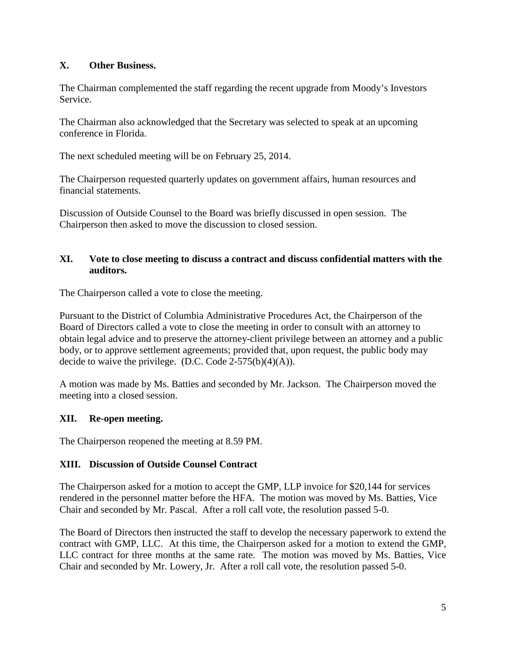# **X. Other Business.**

The Chairman complemented the staff regarding the recent upgrade from Moody's Investors Service.

The Chairman also acknowledged that the Secretary was selected to speak at an upcoming conference in Florida.

The next scheduled meeting will be on February 25, 2014.

The Chairperson requested quarterly updates on government affairs, human resources and financial statements.

Discussion of Outside Counsel to the Board was briefly discussed in open session. The Chairperson then asked to move the discussion to closed session.

### **XI. Vote to close meeting to discuss a contract and discuss confidential matters with the auditors.**

The Chairperson called a vote to close the meeting.

Pursuant to the District of Columbia Administrative Procedures Act, the Chairperson of the Board of Directors called a vote to close the meeting in order to consult with an attorney to obtain legal advice and to preserve the attorney-client privilege between an attorney and a public body, or to approve settlement agreements; provided that, upon request, the public body may decide to waive the privilege. (D.C. Code  $2-575(b)(4)(A)$ ).

A motion was made by Ms. Batties and seconded by Mr. Jackson. The Chairperson moved the meeting into a closed session.

### **XII. Re-open meeting.**

The Chairperson reopened the meeting at 8.59 PM.

### **XIII. Discussion of Outside Counsel Contract**

The Chairperson asked for a motion to accept the GMP, LLP invoice for \$20,144 for services rendered in the personnel matter before the HFA. The motion was moved by Ms. Batties, Vice Chair and seconded by Mr. Pascal. After a roll call vote, the resolution passed 5-0.

The Board of Directors then instructed the staff to develop the necessary paperwork to extend the contract with GMP, LLC. At this time, the Chairperson asked for a motion to extend the GMP, LLC contract for three months at the same rate. The motion was moved by Ms. Batties, Vice Chair and seconded by Mr. Lowery, Jr. After a roll call vote, the resolution passed 5-0.